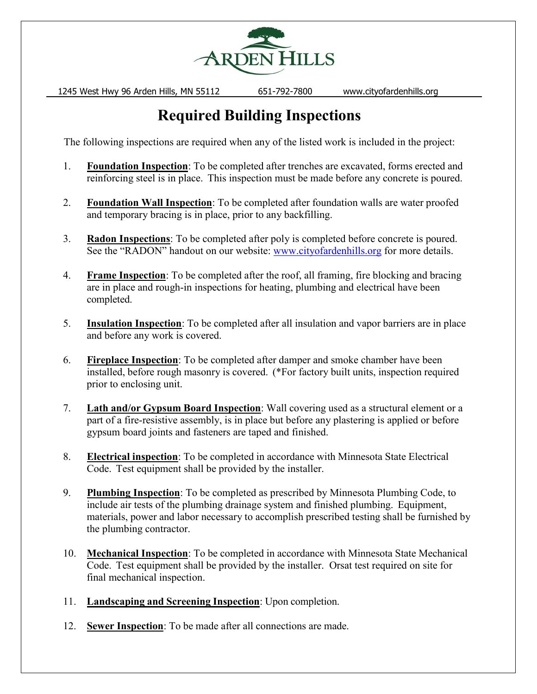

1245 West Hwy 96 Arden Hills, MN 55112 651-792-7800 www.cityofardenhills.org

# **Required Building Inspections**

The following inspections are required when any of the listed work is included in the project:

- 1. **Foundation Inspection**: To be completed after trenches are excavated, forms erected and reinforcing steel is in place. This inspection must be made before any concrete is poured.
- 2. **Foundation Wall Inspection**: To be completed after foundation walls are water proofed and temporary bracing is in place, prior to any backfilling.
- 3. **Radon Inspections**: To be completed after poly is completed before concrete is poured. See the "RADON" handout on our website: [www.cityofardenhills.org](http://www.cityofardenhills.org/) for more details.
- 4. **Frame Inspection**: To be completed after the roof, all framing, fire blocking and bracing are in place and rough-in inspections for heating, plumbing and electrical have been completed.
- 5. **Insulation Inspection**: To be completed after all insulation and vapor barriers are in place and before any work is covered.
- 6. **Fireplace Inspection**: To be completed after damper and smoke chamber have been installed, before rough masonry is covered. (\*For factory built units, inspection required prior to enclosing unit.
- 7. **Lath and/or Gypsum Board Inspection**: Wall covering used as a structural element or a part of a fire-resistive assembly, is in place but before any plastering is applied or before gypsum board joints and fasteners are taped and finished.
- 8. **Electrical inspection**: To be completed in accordance with Minnesota State Electrical Code. Test equipment shall be provided by the installer.
- 9. **Plumbing Inspection**: To be completed as prescribed by Minnesota Plumbing Code, to include air tests of the plumbing drainage system and finished plumbing. Equipment, materials, power and labor necessary to accomplish prescribed testing shall be furnished by the plumbing contractor.
- 10. **Mechanical Inspection**: To be completed in accordance with Minnesota State Mechanical Code. Test equipment shall be provided by the installer. Orsat test required on site for final mechanical inspection.
- 11. **Landscaping and Screening Inspection**: Upon completion.
- 12. **Sewer Inspection**: To be made after all connections are made.